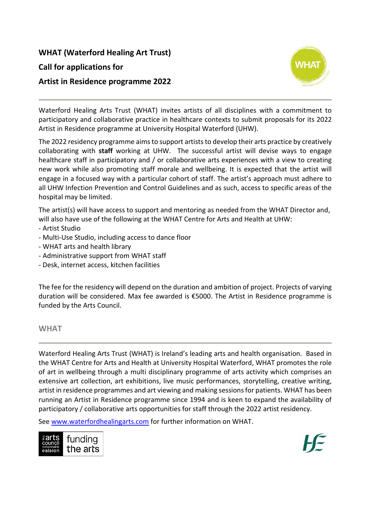# **WHAT (Waterford Healing Art Trust)**

### **Call for applications for**

# **Artist in Residence programme 2022**



Waterford Healing Arts Trust (WHAT) invites artists of all disciplines with a commitment to participatory and collaborative practice in healthcare contexts to submit proposals for its 2022 Artist in Residence programme at University Hospital Waterford (UHW).

The 2022 residency programme aimsto support artiststo develop their arts practice by creatively collaborating with **staff** working at UHW. The successful artist will devise ways to engage healthcare staff in participatory and / or collaborative arts experiences with a view to creating new work while also promoting staff morale and wellbeing. It is expected that the artist will engage in a focused way with a particular cohort of staff. The artist's approach must adhere to all UHW Infection Prevention and Control Guidelines and as such, access to specific areas of the hospital may be limited.

The artist(s) will have access to support and mentoring as needed from the WHAT Director and, will also have use of the following at the WHAT Centre for Arts and Health at UHW:

- Artist Studio
- Multi-Use Studio, including access to dance floor
- WHAT arts and health library
- Administrative support from WHAT staff
- Desk, internet access, kitchen facilities

The fee for the residency will depend on the duration and ambition of project. Projects of varying duration will be considered. Max fee awarded is €5000. The Artist in Residence programme is funded by the Arts Council.

#### **WHAT**

Waterford Healing Arts Trust (WHAT) is Ireland's leading arts and health organisation. Based in the WHAT Centre for Arts and Health at University Hospital Waterford, WHAT promotes the role of art in wellbeing through a multi disciplinary programme of arts activity which comprises an extensive art collection, art exhibitions, live music performances, storytelling, creative writing, artist in residence programmes and art viewing and making sessions for patients. WHAT has been running an Artist in Residence programme since 1994 and is keen to expand the availability of participatory / collaborative arts opportunities for staff through the 2022 artist residency.

See [www.waterfordhealingarts.com](http://www.waterfordhealingarts.com/) for further information on WHAT.

| $\frac{1}{6}$ arts<br>council<br>echomhairle<br>ealaíon | funding<br>the arts |
|---------------------------------------------------------|---------------------|
|                                                         |                     |

 $\begin{array}{c} \hline \end{array}$ 

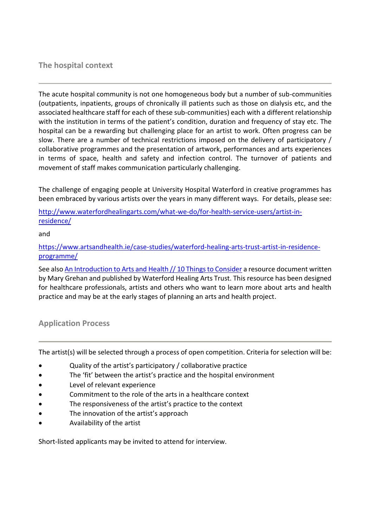## **The hospital context**

The acute hospital community is not one homogeneous body but a number of sub-communities (outpatients, inpatients, groups of chronically ill patients such as those on dialysis etc, and the associated healthcare staff for each of these sub-communities) each with a different relationship with the institution in terms of the patient's condition, duration and frequency of stay etc. The hospital can be a rewarding but challenging place for an artist to work. Often progress can be slow. There are a number of technical restrictions imposed on the delivery of participatory / collaborative programmes and the presentation of artwork, performances and arts experiences in terms of space, health and safety and infection control. The turnover of patients and movement of staff makes communication particularly challenging.

The challenge of engaging people at University Hospital Waterford in creative programmes has been embraced by various artists over the years in many different ways. For details, please see:

[http://www.waterfordhealingarts.com/what-we-do/for-health-service-users/artist-in](http://www.waterfordhealingarts.com/what-we-do/for-health-service-users/artist-in-residence/)[residence/](http://www.waterfordhealingarts.com/what-we-do/for-health-service-users/artist-in-residence/)

#### and

[https://www.artsandhealth.ie/case-studies/waterford-healing-arts-trust-artist-in-residence](https://www.artsandhealth.ie/case-studies/waterford-healing-arts-trust-artist-in-residence-programme/)[programme/](https://www.artsandhealth.ie/case-studies/waterford-healing-arts-trust-artist-in-residence-programme/)

See als[o An Introduction to Arts and Health // 10 Things to Consider](https://www.artsandhealth.ie/guidelines/an-introduction-to-arts-and-health-10-things-to-consider/) a resource document written by Mary Grehan and published by Waterford Healing Arts Trust. This resource has been designed for healthcare professionals, artists and others who want to learn more about arts and health practice and may be at the early stages of planning an arts and health project.

# **Application Process**

The artist(s) will be selected through a process of open competition. Criteria for selection will be:

- Quality of the artist's participatory / collaborative practice
- The 'fit' between the artist's practice and the hospital environment
- Level of relevant experience
- Commitment to the role of the arts in a healthcare context
- The responsiveness of the artist's practice to the context
- The innovation of the artist's approach
- Availability of the artist

Short-listed applicants may be invited to attend for interview.